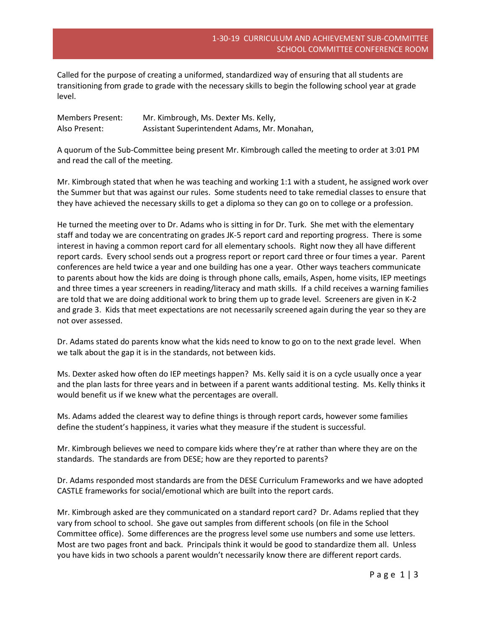Called for the purpose of creating a uniformed, standardized way of ensuring that all students are transitioning from grade to grade with the necessary skills to begin the following school year at grade level.

Members Present: Mr. Kimbrough, Ms. Dexter Ms. Kelly, Also Present: Assistant Superintendent Adams, Mr. Monahan,

A quorum of the Sub-Committee being present Mr. Kimbrough called the meeting to order at 3:01 PM and read the call of the meeting.

Mr. Kimbrough stated that when he was teaching and working 1:1 with a student, he assigned work over the Summer but that was against our rules. Some students need to take remedial classes to ensure that they have achieved the necessary skills to get a diploma so they can go on to college or a profession.

He turned the meeting over to Dr. Adams who is sitting in for Dr. Turk. She met with the elementary staff and today we are concentrating on grades JK-5 report card and reporting progress. There is some interest in having a common report card for all elementary schools. Right now they all have different report cards. Every school sends out a progress report or report card three or four times a year. Parent conferences are held twice a year and one building has one a year. Other ways teachers communicate to parents about how the kids are doing is through phone calls, emails, Aspen, home visits, IEP meetings and three times a year screeners in reading/literacy and math skills. If a child receives a warning families are told that we are doing additional work to bring them up to grade level. Screeners are given in K-2 and grade 3. Kids that meet expectations are not necessarily screened again during the year so they are not over assessed.

Dr. Adams stated do parents know what the kids need to know to go on to the next grade level. When we talk about the gap it is in the standards, not between kids.

Ms. Dexter asked how often do IEP meetings happen? Ms. Kelly said it is on a cycle usually once a year and the plan lasts for three years and in between if a parent wants additional testing. Ms. Kelly thinks it would benefit us if we knew what the percentages are overall.

Ms. Adams added the clearest way to define things is through report cards, however some families define the student's happiness, it varies what they measure if the student is successful.

Mr. Kimbrough believes we need to compare kids where they're at rather than where they are on the standards. The standards are from DESE; how are they reported to parents?

Dr. Adams responded most standards are from the DESE Curriculum Frameworks and we have adopted CASTLE frameworks for social/emotional which are built into the report cards.

Mr. Kimbrough asked are they communicated on a standard report card? Dr. Adams replied that they vary from school to school. She gave out samples from different schools (on file in the School Committee office). Some differences are the progress level some use numbers and some use letters. Most are two pages front and back. Principals think it would be good to standardize them all. Unless you have kids in two schools a parent wouldn't necessarily know there are different report cards.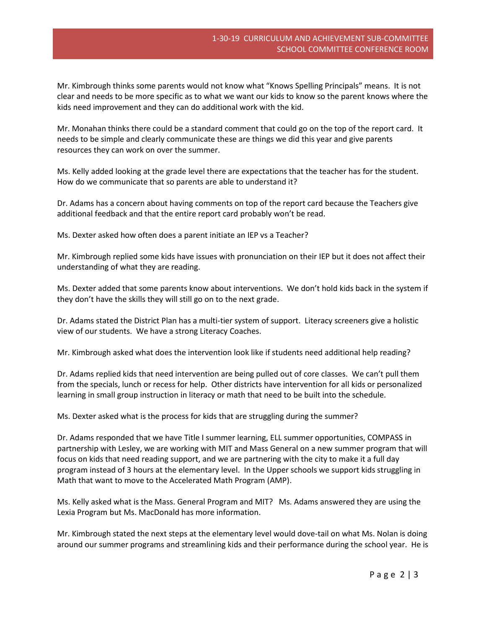## 1-30-19 CURRICULUM AND ACHIEVEMENT SUB-COMMITTEE SCHOOL COMMITTEE CONFERENCE ROOM

Mr. Kimbrough thinks some parents would not know what "Knows Spelling Principals" means. It is not clear and needs to be more specific as to what we want our kids to know so the parent knows where the kids need improvement and they can do additional work with the kid.

Mr. Monahan thinks there could be a standard comment that could go on the top of the report card. It needs to be simple and clearly communicate these are things we did this year and give parents resources they can work on over the summer.

Ms. Kelly added looking at the grade level there are expectations that the teacher has for the student. How do we communicate that so parents are able to understand it?

Dr. Adams has a concern about having comments on top of the report card because the Teachers give additional feedback and that the entire report card probably won't be read.

Ms. Dexter asked how often does a parent initiate an IEP vs a Teacher?

Mr. Kimbrough replied some kids have issues with pronunciation on their IEP but it does not affect their understanding of what they are reading.

Ms. Dexter added that some parents know about interventions. We don't hold kids back in the system if they don't have the skills they will still go on to the next grade.

Dr. Adams stated the District Plan has a multi-tier system of support. Literacy screeners give a holistic view of our students. We have a strong Literacy Coaches.

Mr. Kimbrough asked what does the intervention look like if students need additional help reading?

Dr. Adams replied kids that need intervention are being pulled out of core classes. We can't pull them from the specials, lunch or recess for help. Other districts have intervention for all kids or personalized learning in small group instruction in literacy or math that need to be built into the schedule.

Ms. Dexter asked what is the process for kids that are struggling during the summer?

Dr. Adams responded that we have Title I summer learning, ELL summer opportunities, COMPASS in partnership with Lesley, we are working with MIT and Mass General on a new summer program that will focus on kids that need reading support, and we are partnering with the city to make it a full day program instead of 3 hours at the elementary level. In the Upper schools we support kids struggling in Math that want to move to the Accelerated Math Program (AMP).

Ms. Kelly asked what is the Mass. General Program and MIT? Ms. Adams answered they are using the Lexia Program but Ms. MacDonald has more information.

Mr. Kimbrough stated the next steps at the elementary level would dove-tail on what Ms. Nolan is doing around our summer programs and streamlining kids and their performance during the school year. He is